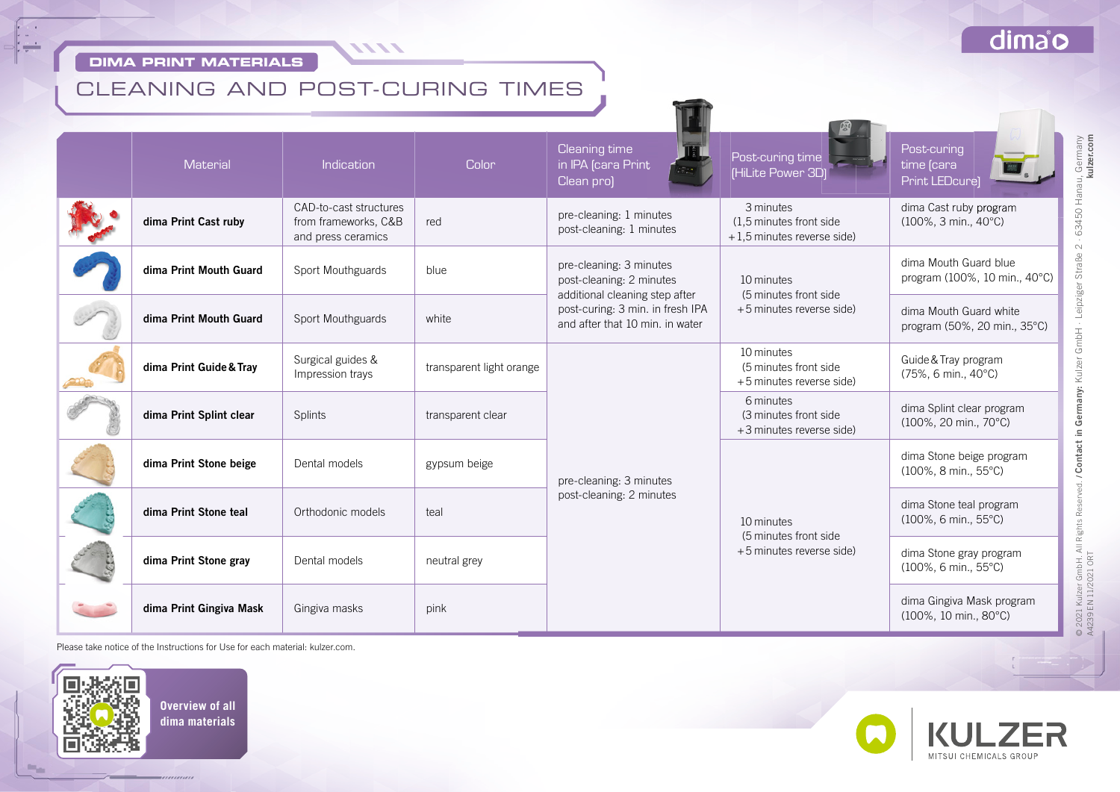#### **DIMA PRINT MATERIALS**

 $\sim$ 

 $\cdot$ 

### dimao

# CLEANING AND POST-CURING TIMES

1111

| <b>Material</b>         | <b>Indication</b>                                                    | <b>Color</b>             | Cleaning time<br>in IPA (cara Print<br>Clean pro)                                                                                                            | Post-curing time<br>(HiLite Power 3D)                               | Post-curing<br>time [cara<br><b>Print LEDcure</b>          |
|-------------------------|----------------------------------------------------------------------|--------------------------|--------------------------------------------------------------------------------------------------------------------------------------------------------------|---------------------------------------------------------------------|------------------------------------------------------------|
| dima Print Cast ruby    | CAD-to-cast structures<br>from frameworks, C&B<br>and press ceramics | red                      | pre-cleaning: 1 minutes<br>post-cleaning: 1 minutes                                                                                                          | 3 minutes<br>(1.5 minutes front side)<br>+1,5 minutes reverse side) | dima Cast ruby program<br>$(100\%, 3 min., 40^{\circ}C)$   |
| dima Print Mouth Guard  | Sport Mouthguards                                                    | blue                     | pre-cleaning: 3 minutes<br>post-cleaning: 2 minutes<br>additional cleaning step after<br>post-curing: 3 min. in fresh IPA<br>and after that 10 min. in water | 10 minutes<br>(5 minutes front side)<br>+5 minutes reverse side)    | dima Mouth Guard blue<br>program (100%, 10 min., 40°C)     |
| dima Print Mouth Guard  | Sport Mouthguards                                                    | white                    |                                                                                                                                                              |                                                                     | dima Mouth Guard white<br>program (50%, 20 min., 35°C)     |
| dima Print Guide & Tray | Surgical guides &<br>Impression trays                                | transparent light orange | pre-cleaning: 3 minutes<br>post-cleaning: 2 minutes                                                                                                          | 10 minutes<br>(5 minutes front side)<br>+5 minutes reverse side)    | Guide & Tray program<br>(75%, 6 min., 40°C)                |
| dima Print Splint clear | <b>Splints</b>                                                       | transparent clear        |                                                                                                                                                              | 6 minutes<br>(3 minutes front side)<br>+3 minutes reverse side)     | dima Splint clear program<br>(100%, 20 min., 70°C)         |
| dima Print Stone beige  | Dental models                                                        | gypsum beige             |                                                                                                                                                              | 10 minutes<br>(5 minutes front side)<br>+5 minutes reverse side)    | dima Stone beige program<br>$(100\%, 8 min., 55^{\circ}C)$ |
| dima Print Stone teal   | Orthodonic models                                                    | teal                     |                                                                                                                                                              |                                                                     | dima Stone teal program<br>(100%, 6 min., 55°C)            |
| dima Print Stone gray   | Dental models                                                        | neutral grey             |                                                                                                                                                              |                                                                     | dima Stone gray program<br>$(100\%, 6 min., 55^{\circ}C)$  |
| dima Print Gingiva Mask | Gingiva masks                                                        | pink                     |                                                                                                                                                              |                                                                     | dima Gingiva Mask program<br>(100%, 10 min., 80°C)         |

Please take notice of the Instructions for Use for each material: kulzer.com.



 $m_{\rm eff}$ 

MITSUI CHEMICALS GROUP